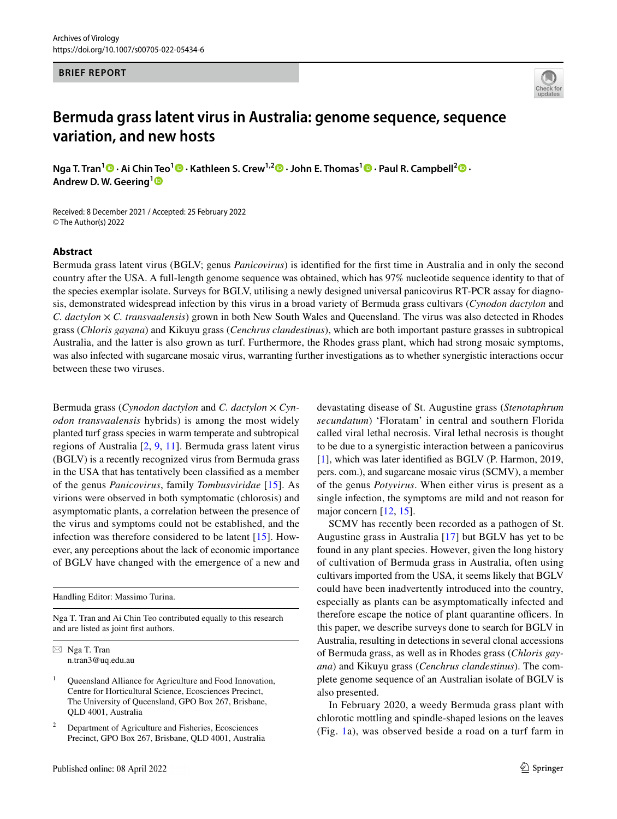### **BRIEF REPORT**



# **Bermuda grass latent virus in Australia: genome sequence, sequence variation, and new hosts**

**Nga T. Tran[1](http://orcid.org/0000-0002-8362-4016) · Ai Chin Teo<sup>1</sup> · Kathleen S. Crew1,2  [·](http://orcid.org/0000-0002-3035-4809) John E. Thomas1 · Paul R. Campbell2  [·](http://orcid.org/0000-0003-4464-314X) Andrew D. W. Geering[1](http://orcid.org/0000-0002-5743-6804)**

Received: 8 December 2021 / Accepted: 25 February 2022 © The Author(s) 2022

## **Abstract**

Bermuda grass latent virus (BGLV; genus *Panicovirus*) is identifed for the frst time in Australia and in only the second country after the USA. A full-length genome sequence was obtained, which has 97% nucleotide sequence identity to that of the species exemplar isolate. Surveys for BGLV, utilising a newly designed universal panicovirus RT-PCR assay for diagnosis, demonstrated widespread infection by this virus in a broad variety of Bermuda grass cultivars (*Cynodon dactylon* and *C. dactylon* × *C. transvaalensis*) grown in both New South Wales and Queensland. The virus was also detected in Rhodes grass (*Chloris gayana*) and Kikuyu grass (*Cenchrus clandestinus*), which are both important pasture grasses in subtropical Australia, and the latter is also grown as turf. Furthermore, the Rhodes grass plant, which had strong mosaic symptoms, was also infected with sugarcane mosaic virus, warranting further investigations as to whether synergistic interactions occur between these two viruses.

Bermuda grass (*Cynodon dactylon* and *C. dactylon* × *Cynodon transvaalensis* hybrids) is among the most widely planted turf grass species in warm temperate and subtropical regions of Australia [[2,](#page-5-0) [9](#page-6-0), [11\]](#page-6-1). Bermuda grass latent virus (BGLV) is a recently recognized virus from Bermuda grass in the USA that has tentatively been classifed as a member of the genus *Panicovirus*, family *Tombusviridae* [\[15\]](#page-6-2). As virions were observed in both symptomatic (chlorosis) and asymptomatic plants, a correlation between the presence of the virus and symptoms could not be established, and the infection was therefore considered to be latent [\[15\]](#page-6-2). However, any perceptions about the lack of economic importance of BGLV have changed with the emergence of a new and

Handling Editor: Massimo Turina.

Nga T. Tran and Ai Chin Teo contributed equally to this research and are listed as joint frst authors.

 $\boxtimes$  Nga T. Tran n.tran3@uq.edu.au

<sup>1</sup> Queensland Alliance for Agriculture and Food Innovation, Centre for Horticultural Science, Ecosciences Precinct, The University of Queensland, GPO Box 267, Brisbane, QLD 4001, Australia

<sup>2</sup> Department of Agriculture and Fisheries, Ecosciences Precinct, GPO Box 267, Brisbane, QLD 4001, Australia devastating disease of St. Augustine grass (*Stenotaphrum secundatum*) 'Floratam' in central and southern Florida called viral lethal necrosis. Viral lethal necrosis is thought to be due to a synergistic interaction between a panicovirus [[1\]](#page-5-1), which was later identifed as BGLV (P. Harmon, 2019, pers. com.), and sugarcane mosaic virus (SCMV), a member of the genus *Potyvirus*. When either virus is present as a single infection, the symptoms are mild and not reason for major concern [\[12](#page-6-3), [15](#page-6-2)].

SCMV has recently been recorded as a pathogen of St. Augustine grass in Australia [[17](#page-6-4)] but BGLV has yet to be found in any plant species. However, given the long history of cultivation of Bermuda grass in Australia, often using cultivars imported from the USA, it seems likely that BGLV could have been inadvertently introduced into the country, especially as plants can be asymptomatically infected and therefore escape the notice of plant quarantine officers. In this paper, we describe surveys done to search for BGLV in Australia, resulting in detections in several clonal accessions of Bermuda grass, as well as in Rhodes grass (*Chloris gayana*) and Kikuyu grass (*Cenchrus clandestinus*). The complete genome sequence of an Australian isolate of BGLV is also presented.

In February 2020, a weedy Bermuda grass plant with chlorotic mottling and spindle-shaped lesions on the leaves (Fig. [1](#page-1-0)a), was observed beside a road on a turf farm in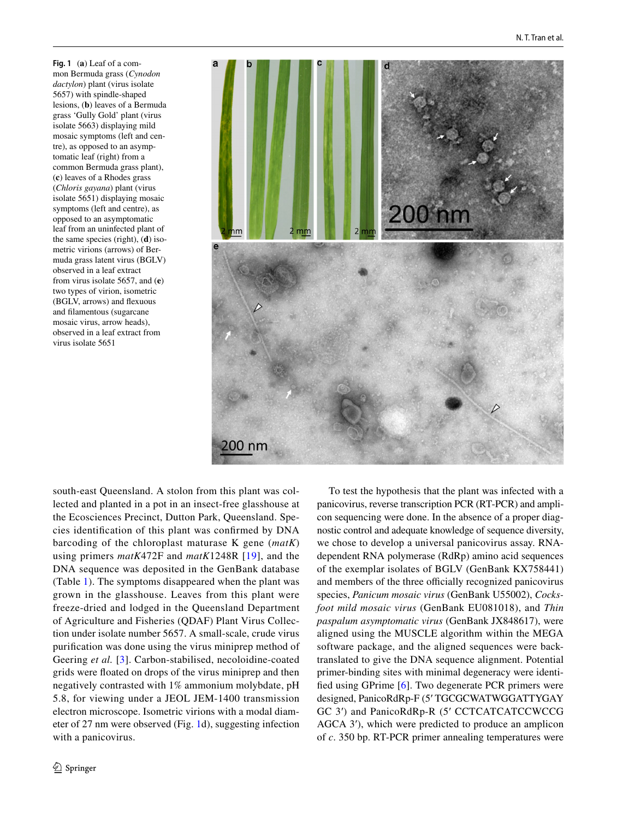<span id="page-1-0"></span>**Fig. 1** (**a**) Leaf of a common Bermuda grass (*Cynodon dactylon*) plant (virus isolate 5657) with spindle-shaped lesions, (**b**) leaves of a Bermuda grass 'Gully Gold' plant (virus isolate 5663) displaying mild mosaic symptoms (left and centre), as opposed to an asymptomatic leaf (right) from a common Bermuda grass plant), (**c**) leaves of a Rhodes grass (*Chloris gayana*) plant (virus isolate 5651) displaying mosaic symptoms (left and centre), as opposed to an asymptomatic leaf from an uninfected plant of the same species (right), (**d**) isometric virions (arrows) of Bermuda grass latent virus (BGLV) observed in a leaf extract from virus isolate 5657, and (**e**) two types of virion, isometric (BGLV, arrows) and fexuous and flamentous (sugarcane mosaic virus, arrow heads), observed in a leaf extract from virus isolate 5651



south-east Queensland. A stolon from this plant was collected and planted in a pot in an insect-free glasshouse at the Ecosciences Precinct, Dutton Park, Queensland. Species identifcation of this plant was confrmed by DNA barcoding of the chloroplast maturase K gene (*matK*) using primers *matK*472F and *matK*1248R [[19](#page-6-5)], and the DNA sequence was deposited in the GenBank database (Table [1\)](#page-2-0). The symptoms disappeared when the plant was grown in the glasshouse. Leaves from this plant were freeze-dried and lodged in the Queensland Department of Agriculture and Fisheries (QDAF) Plant Virus Collection under isolate number 5657. A small-scale, crude virus purifcation was done using the virus miniprep method of Geering *et al.* [[3\]](#page-5-2). Carbon-stabilised, necoloidine-coated grids were foated on drops of the virus miniprep and then negatively contrasted with 1% ammonium molybdate, pH 5.8, for viewing under a JEOL JEM-1400 transmission electron microscope. Isometric virions with a modal diameter of 27 nm were observed (Fig. [1d](#page-1-0)), suggesting infection with a panicovirus.

To test the hypothesis that the plant was infected with a panicovirus, reverse transcription PCR (RT-PCR) and amplicon sequencing were done. In the absence of a proper diagnostic control and adequate knowledge of sequence diversity, we chose to develop a universal panicovirus assay. RNAdependent RNA polymerase (RdRp) amino acid sequences of the exemplar isolates of BGLV (GenBank KX758441) and members of the three officially recognized panicovirus species, *Panicum mosaic virus* (GenBank U55002), *Cocksfoot mild mosaic virus* (GenBank EU081018), and *Thin paspalum asymptomatic virus* (GenBank JX848617), were aligned using the MUSCLE algorithm within the MEGA software package, and the aligned sequences were backtranslated to give the DNA sequence alignment. Potential primer-binding sites with minimal degeneracy were identifed using GPrime [\[6](#page-5-3)]. Two degenerate PCR primers were designed, PanicoRdRp-F (5ʹ TGCGCWATWGGATTYGAY GC 3ʹ) and PanicoRdRp-R (5ʹ CCTCATCATCCWCCG AGCA 3<sup>'</sup>), which were predicted to produce an amplicon of *c*. 350 bp. RT-PCR primer annealing temperatures were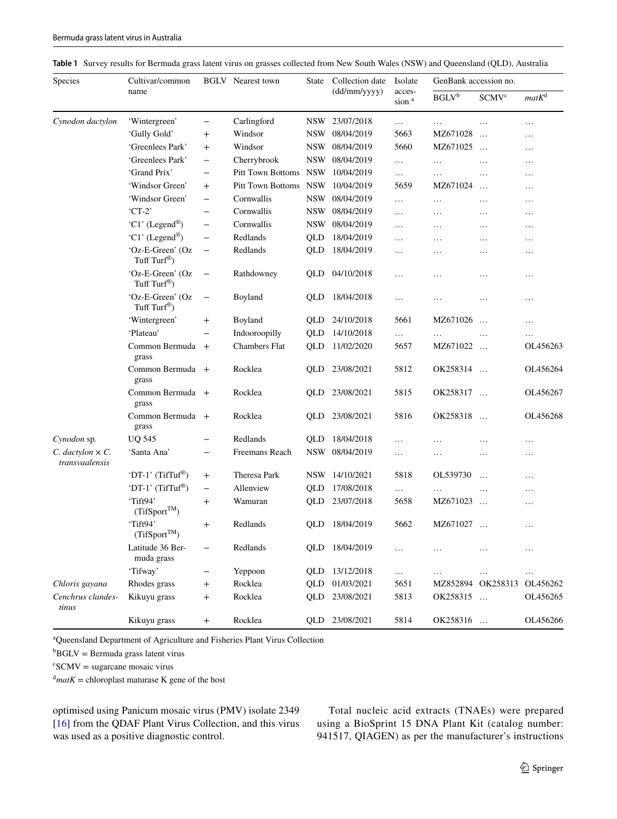<span id="page-2-0"></span>

|  |  | Table 1 Survey results for Bermuda grass latent virus on grasses collected from New South Wales (NSW) and Queensland (QLD), Australia |  |  |  |  |  |  |
|--|--|---------------------------------------------------------------------------------------------------------------------------------------|--|--|--|--|--|--|
|--|--|---------------------------------------------------------------------------------------------------------------------------------------|--|--|--|--|--|--|

| <b>Species</b>                              | Cultivar/common                              |                          | <b>BGLV</b> Nearest town | <b>State</b> | Collection date<br>$(dd/\text{mm/yyyy})$ | Isolate<br>acces-<br>sion <sup>a</sup> | GenBank accession no.                                   |                         |           |
|---------------------------------------------|----------------------------------------------|--------------------------|--------------------------|--------------|------------------------------------------|----------------------------------------|---------------------------------------------------------|-------------------------|-----------|
|                                             | name                                         |                          |                          |              |                                          |                                        | $\mathbf{B}\mathbf{G}\mathbf{L}\mathbf{V}^{\mathsf{b}}$ | <b>SCMV<sup>c</sup></b> | $matK^d$  |
| Cynodon dactylon                            | 'Wintergreen'                                | -                        | Carlingford              | NSW          | 23/07/2018                               | .                                      | .                                                       | .                       | $\ldots$  |
|                                             | 'Gully Gold'                                 | $\mathrm{+}$             | Windsor                  | <b>NSW</b>   | 08/04/2019                               | 5663                                   | MZ671028                                                | $\ldots$                | .         |
|                                             | 'Greenlees Park'                             | $\ddot{}$                | Windsor                  | <b>NSW</b>   | 08/04/2019                               | 5660                                   | MZ671025                                                | $\ddotsc$               | .         |
|                                             | 'Greenlees Park'                             | $\qquad \qquad -$        | Cherrybrook              | <b>NSW</b>   | 08/04/2019                               | $\ldots$                               | $\ldots$                                                | $\ldots$                | $\ddotsc$ |
|                                             | 'Grand Prix'                                 | $\qquad \qquad -$        | Pitt Town Bottoms NSW    |              | 10/04/2019                               | $\ldots$                               | .                                                       | $\cdots$                | .         |
|                                             | 'Windsor Green'                              | $^{+}$                   | Pitt Town Bottoms NSW    |              | 10/04/2019                               | 5659                                   | MZ671024                                                | $\ddotsc$               | $\cdots$  |
|                                             | 'Windsor Green'                              | $\qquad \qquad -$        | Cornwallis               | <b>NSW</b>   | 08/04/2019                               | $\ldots$                               | .                                                       | $\ldots$                | .         |
|                                             | $CT-2$                                       | $\qquad \qquad -$        | Cornwallis               | <b>NSW</b>   | 08/04/2019                               | $\cdots$                               | $\cdots$                                                | $\cdots$                | $\cdots$  |
|                                             | 'C1' (Legend®)                               | $\overline{\phantom{0}}$ | Cornwallis               | <b>NSW</b>   | 08/04/2019                               | .                                      | $\ldots$                                                | $\ldots$                | .         |
|                                             | 'C1' (Legend®)                               | $\overline{\phantom{0}}$ | Redlands                 | QLD          | 18/04/2019                               | $\cdots$                               | $\ldots$                                                | $\ldots$                | .         |
|                                             | 'Oz-E-Green' (Oz<br>Tuff Turf <sup>®</sup> ) | $\qquad \qquad -$        | Redlands                 | QLD          | 18/04/2019                               | .                                      | $\ldots$                                                | .                       | .         |
|                                             | 'Oz-E-Green' (Oz<br>Tuff Turf <sup>®</sup> ) | $\qquad \qquad -$        | Rathdowney               | QLD          | 04/10/2018                               | .                                      | .                                                       | .                       | .         |
|                                             | 'Oz-E-Green' (Oz<br>Tuff Turf®)              | $\qquad \qquad -$        | Boyland                  | QLD          | 18/04/2018                               | $\ldots$                               | $\ldots$                                                | .                       | .         |
|                                             | 'Wintergreen'                                | $\ddot{}$                | Boyland                  | QLD          | 24/10/2018                               | 5661                                   | MZ671026                                                | $\ddotsc$               | .         |
|                                             | 'Plateau'                                    |                          | Indooroopilly            | <b>QLD</b>   | 14/10/2018                               | $\cdots$                               | $\cdots$                                                | $\ldots$                | $\cdots$  |
|                                             | Common Bermuda +<br>grass                    |                          | Chambers Flat            | QLD          | 11/02/2020                               | 5657                                   | MZ671022                                                | $\ddots$                | OL456263  |
|                                             | Common Bermuda +<br>grass                    |                          | Rocklea                  | QLD          | 23/08/2021                               | 5812                                   | OK258314                                                | $\dddotsc$              | OL456264  |
|                                             | Common Bermuda +<br>grass                    |                          | Rocklea                  | QLD          | 23/08/2021                               | 5815                                   | OK258317                                                | $\ldots$                | OL456267  |
|                                             | Common Bermuda +<br>grass                    |                          | Rocklea                  | QLD          | 23/08/2021                               | 5816                                   | OK258318                                                | $\ddotsc$               | OL456268  |
| Cynodon sp.                                 | <b>UQ 545</b>                                | $\overline{\phantom{0}}$ | Redlands                 | QLD          | 18/04/2018                               | $\ldots$                               | .                                                       | .                       | $\cdots$  |
| $C.$ dactylon $\times C.$<br>transvaalensis | 'Santa Ana'                                  | $\qquad \qquad -$        | Freemans Reach           | <b>NSW</b>   | 08/04/2019                               | .                                      | .                                                       | .                       | .         |
|                                             | 'DT-1' $(TifTuf^{\circledR})$                | $\ddot{}$                | Theresa Park             | <b>NSW</b>   | 14/10/2021                               | 5818                                   | OL539730                                                | $\ddotsc$               | $\cdots$  |
|                                             | 'DT-1' (TifTuf®)                             | $\overline{\phantom{0}}$ | Allenview                | QLD          | 17/08/2018                               | $\ldots$                               | .                                                       | $\cdots$                | .         |
|                                             | 'Tift94'<br>$(Tif Sport^{TM})$               | $\ddot{}$                | Wamuran                  | QLD          | 23/07/2018                               | 5658                                   | MZ671023                                                | $\ddotsc$               | .         |
|                                             | 'Tift94'<br>$(Tif Sport^{TM})$               | $^{+}$                   | Redlands                 | QLD          | 18/04/2019                               | 5662                                   | MZ671027                                                | $\ddotsc$               | .         |
|                                             | Latitude 36 Ber-<br>muda grass               |                          | Redlands                 | QLD          | 18/04/2019                               | $\ldots$                               | $\ldots$                                                | $\cdots$                | $\cdots$  |
|                                             | 'Tifway'                                     |                          | Yeppoon                  | QLD          | 13/12/2018                               | $\ldots$                               | $\ldots$                                                | $\ldots$                | $\ldots$  |
| Chloris gayana                              | Rhodes grass                                 |                          | Rocklea                  | QLD          | 01/03/2021                               | 5651                                   |                                                         | MZ852894 OK258313       | OL456262  |
| Cenchrus clandes-<br>tinus                  | Kikuyu grass                                 | $^+$                     | Rocklea                  | QLD          | 23/08/2021                               | 5813                                   | OK258315                                                | $\ldots$                | OL456265  |
|                                             | Kikuyu grass                                 | $^{+}$                   | Rocklea                  | QLD          | 23/08/2021                               | 5814                                   | OK258316                                                |                         | OL456266  |

a Queensland Department of Agriculture and Fisheries Plant Virus Collection

 ${}^{\text{b}}$ BGLV = Bermuda grass latent virus

 $c<sup>c</sup>SCMV = sugarcane mosaic virus$ 

 $d$ *matK* = chloroplast maturase K gene of the host

optimised using Panicum mosaic virus (PMV) isolate 2349 [\[16\]](#page-6-6) from the QDAF Plant Virus Collection, and this virus was used as a positive diagnostic control.

Total nucleic acid extracts (TNAEs) were prepared using a BioSprint 15 DNA Plant Kit (catalog number: 941517, QIAGEN) as per the manufacturer's instructions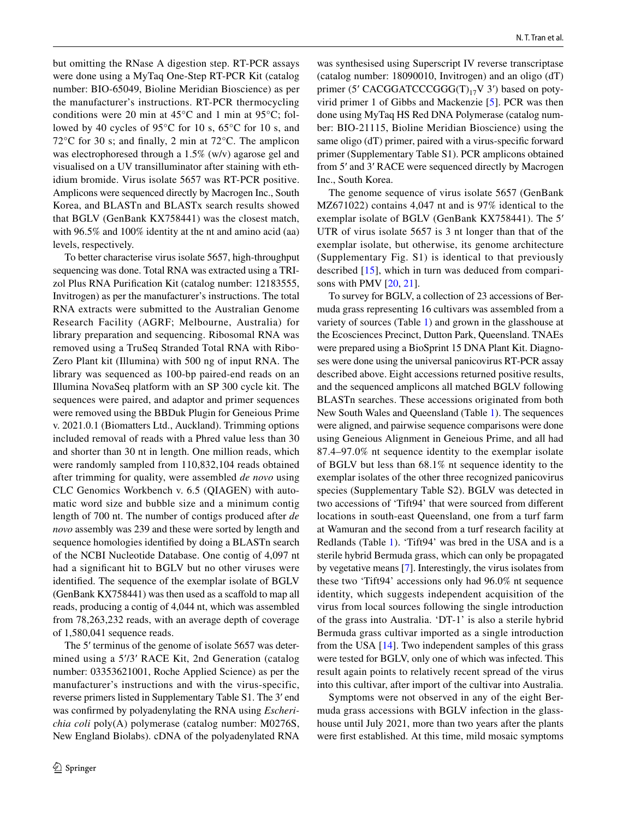but omitting the RNase A digestion step. RT-PCR assays were done using a MyTaq One-Step RT-PCR Kit (catalog number: BIO-65049, Bioline Meridian Bioscience) as per the manufacturer's instructions. RT-PCR thermocycling conditions were 20 min at 45°C and 1 min at 95°C; followed by 40 cycles of 95°C for 10 s, 65°C for 10 s, and 72°C for 30 s; and fnally, 2 min at 72°C. The amplicon was electrophoresed through a 1.5% (w/v) agarose gel and visualised on a UV transilluminator after staining with ethidium bromide. Virus isolate 5657 was RT-PCR positive. Amplicons were sequenced directly by Macrogen Inc., South Korea, and BLASTn and BLASTx search results showed that BGLV (GenBank KX758441) was the closest match, with 96.5% and 100% identity at the nt and amino acid (aa) levels, respectively.

To better characterise virus isolate 5657, high-throughput sequencing was done. Total RNA was extracted using a TRIzol Plus RNA Purifcation Kit (catalog number: 12183555, Invitrogen) as per the manufacturer's instructions. The total RNA extracts were submitted to the Australian Genome Research Facility (AGRF; Melbourne, Australia) for library preparation and sequencing. Ribosomal RNA was removed using a TruSeq Stranded Total RNA with Ribo‐ Zero Plant kit (Illumina) with 500 ng of input RNA. The library was sequenced as 100-bp paired-end reads on an Illumina NovaSeq platform with an SP 300 cycle kit. The sequences were paired, and adaptor and primer sequences were removed using the BBDuk Plugin for Geneious Prime v. 2021.0.1 (Biomatters Ltd., Auckland). Trimming options included removal of reads with a Phred value less than 30 and shorter than 30 nt in length. One million reads, which were randomly sampled from 110,832,104 reads obtained after trimming for quality, were assembled *de novo* using CLC Genomics Workbench v. 6.5 (QIAGEN) with automatic word size and bubble size and a minimum contig length of 700 nt. The number of contigs produced after *de novo* assembly was 239 and these were sorted by length and sequence homologies identifed by doing a BLASTn search of the NCBI Nucleotide Database. One contig of 4,097 nt had a signifcant hit to BGLV but no other viruses were identifed. The sequence of the exemplar isolate of BGLV (GenBank KX758441) was then used as a scafold to map all reads, producing a contig of 4,044 nt, which was assembled from 78,263,232 reads, with an average depth of coverage of 1,580,041 sequence reads.

The 5' terminus of the genome of isolate 5657 was determined using a 5ʹ/3ʹ RACE Kit, 2nd Generation (catalog number: 03353621001, Roche Applied Science) as per the manufacturer's instructions and with the virus-specific, reverse primers listed in Supplementary Table S1. The 3ʹ end was confrmed by polyadenylating the RNA using *Escherichia coli* poly(A) polymerase (catalog number: M0276S, New England Biolabs). cDNA of the polyadenylated RNA

was synthesised using Superscript IV reverse transcriptase (catalog number: 18090010, Invitrogen) and an oligo (dT) primer (5' CACGGATCCCGGG(T)<sub>17</sub>V 3') based on potyvirid primer 1 of Gibbs and Mackenzie [[5\]](#page-5-4). PCR was then done using MyTaq HS Red DNA Polymerase (catalog number: BIO-21115, Bioline Meridian Bioscience) using the same oligo (dT) primer, paired with a virus-specifc forward primer (Supplementary Table S1). PCR amplicons obtained from 5ʹ and 3ʹ RACE were sequenced directly by Macrogen Inc., South Korea.

The genome sequence of virus isolate 5657 (GenBank MZ671022) contains 4,047 nt and is 97% identical to the exemplar isolate of BGLV (GenBank KX758441). The 5ʹ UTR of virus isolate 5657 is 3 nt longer than that of the exemplar isolate, but otherwise, its genome architecture (Supplementary Fig. S1) is identical to that previously described [[15](#page-6-2)], which in turn was deduced from compari-sons with PMV [[20,](#page-6-7) [21\]](#page-6-8).

To survey for BGLV, a collection of 23 accessions of Bermuda grass representing 16 cultivars was assembled from a variety of sources (Table [1](#page-2-0)) and grown in the glasshouse at the Ecosciences Precinct, Dutton Park, Queensland. TNAEs were prepared using a BioSprint 15 DNA Plant Kit. Diagnoses were done using the universal panicovirus RT-PCR assay described above. Eight accessions returned positive results, and the sequenced amplicons all matched BGLV following BLASTn searches. These accessions originated from both New South Wales and Queensland (Table [1](#page-2-0)). The sequences were aligned, and pairwise sequence comparisons were done using Geneious Alignment in Geneious Prime, and all had 87.4–97.0% nt sequence identity to the exemplar isolate of BGLV but less than 68.1% nt sequence identity to the exemplar isolates of the other three recognized panicovirus species (Supplementary Table S2). BGLV was detected in two accessions of 'Tift94' that were sourced from diferent locations in south-east Queensland, one from a turf farm at Wamuran and the second from a turf research facility at Redlands (Table [1\)](#page-2-0). 'Tift94' was bred in the USA and is a sterile hybrid Bermuda grass, which can only be propagated by vegetative means [[7\]](#page-5-5). Interestingly, the virus isolates from these two 'Tift94' accessions only had 96.0% nt sequence identity, which suggests independent acquisition of the virus from local sources following the single introduction of the grass into Australia. 'DT-1' is also a sterile hybrid Bermuda grass cultivar imported as a single introduction from the USA [\[14](#page-6-9)]. Two independent samples of this grass were tested for BGLV, only one of which was infected. This result again points to relatively recent spread of the virus into this cultivar, after import of the cultivar into Australia.

Symptoms were not observed in any of the eight Bermuda grass accessions with BGLV infection in the glasshouse until July 2021, more than two years after the plants were frst established. At this time, mild mosaic symptoms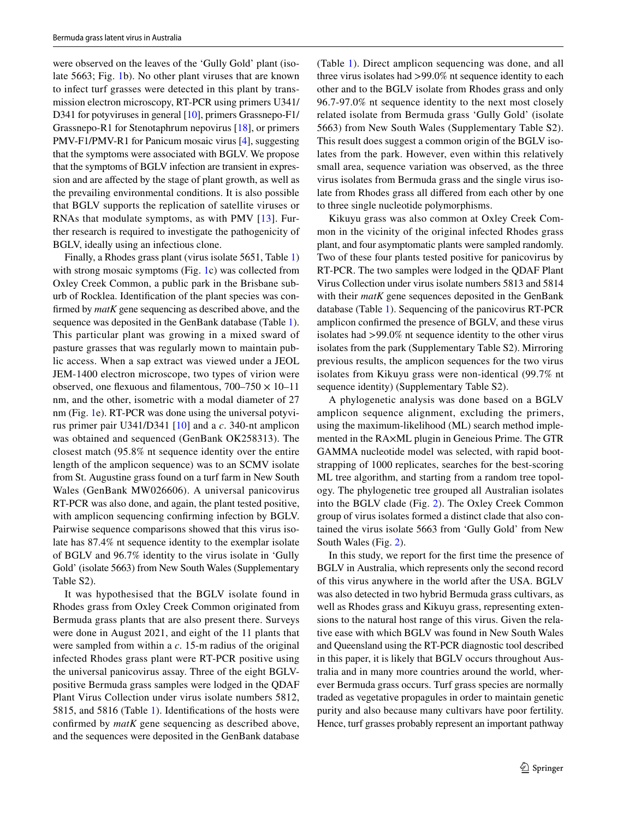were observed on the leaves of the 'Gully Gold' plant (isolate 5663; Fig. [1](#page-1-0)b). No other plant viruses that are known to infect turf grasses were detected in this plant by transmission electron microscopy, RT-PCR using primers U341/ D341 for potyviruses in general [[10\]](#page-6-10), primers Grassnepo-F1/ Grassnepo-R1 for Stenotaphrum nepovirus [\[18](#page-6-11)], or primers PMV-F1/PMV-R1 for Panicum mosaic virus [[4\]](#page-5-6), suggesting that the symptoms were associated with BGLV. We propose that the symptoms of BGLV infection are transient in expression and are afected by the stage of plant growth, as well as the prevailing environmental conditions. It is also possible that BGLV supports the replication of satellite viruses or RNAs that modulate symptoms, as with PMV [[13](#page-6-12)]. Further research is required to investigate the pathogenicity of BGLV, ideally using an infectious clone.

Finally, a Rhodes grass plant (virus isolate 5651, Table [1\)](#page-2-0) with strong mosaic symptoms (Fig. [1c](#page-1-0)) was collected from Oxley Creek Common, a public park in the Brisbane suburb of Rocklea. Identifcation of the plant species was confrmed by *matK* gene sequencing as described above, and the sequence was deposited in the GenBank database (Table [1](#page-2-0)). This particular plant was growing in a mixed sward of pasture grasses that was regularly mown to maintain public access. When a sap extract was viewed under a JEOL JEM-1400 electron microscope, two types of virion were observed, one flexuous and filamentous,  $700-750 \times 10-11$ nm, and the other, isometric with a modal diameter of 27 nm (Fig. [1e](#page-1-0)). RT-PCR was done using the universal potyvirus primer pair U341/D341 [\[10](#page-6-10)] and a *c*. 340-nt amplicon was obtained and sequenced (GenBank OK258313). The closest match (95.8% nt sequence identity over the entire length of the amplicon sequence) was to an SCMV isolate from St. Augustine grass found on a turf farm in New South Wales (GenBank MW026606). A universal panicovirus RT-PCR was also done, and again, the plant tested positive, with amplicon sequencing confrming infection by BGLV. Pairwise sequence comparisons showed that this virus isolate has 87.4% nt sequence identity to the exemplar isolate of BGLV and 96.7% identity to the virus isolate in 'Gully Gold' (isolate 5663) from New South Wales (Supplementary Table S2).

It was hypothesised that the BGLV isolate found in Rhodes grass from Oxley Creek Common originated from Bermuda grass plants that are also present there. Surveys were done in August 2021, and eight of the 11 plants that were sampled from within a *c*. 15-m radius of the original infected Rhodes grass plant were RT-PCR positive using the universal panicovirus assay. Three of the eight BGLVpositive Bermuda grass samples were lodged in the QDAF Plant Virus Collection under virus isolate numbers 5812, 5815, and 5816 (Table [1\)](#page-2-0). Identifcations of the hosts were confrmed by *matK* gene sequencing as described above, and the sequences were deposited in the GenBank database

(Table [1](#page-2-0)). Direct amplicon sequencing was done, and all three virus isolates had >99.0% nt sequence identity to each other and to the BGLV isolate from Rhodes grass and only 96.7-97.0% nt sequence identity to the next most closely related isolate from Bermuda grass 'Gully Gold' (isolate 5663) from New South Wales (Supplementary Table S2). This result does suggest a common origin of the BGLV isolates from the park. However, even within this relatively small area, sequence variation was observed, as the three virus isolates from Bermuda grass and the single virus isolate from Rhodes grass all difered from each other by one to three single nucleotide polymorphisms.

Kikuyu grass was also common at Oxley Creek Common in the vicinity of the original infected Rhodes grass plant, and four asymptomatic plants were sampled randomly. Two of these four plants tested positive for panicovirus by RT-PCR. The two samples were lodged in the QDAF Plant Virus Collection under virus isolate numbers 5813 and 5814 with their *matK* gene sequences deposited in the GenBank database (Table [1\)](#page-2-0). Sequencing of the panicovirus RT-PCR amplicon confrmed the presence of BGLV, and these virus isolates had >99.0% nt sequence identity to the other virus isolates from the park (Supplementary Table S2). Mirroring previous results, the amplicon sequences for the two virus isolates from Kikuyu grass were non-identical (99.7% nt sequence identity) (Supplementary Table S2).

A phylogenetic analysis was done based on a BGLV amplicon sequence alignment, excluding the primers, using the maximum-likelihood (ML) search method implemented in the RA×ML plugin in Geneious Prime. The GTR GAMMA nucleotide model was selected, with rapid bootstrapping of 1000 replicates, searches for the best-scoring ML tree algorithm, and starting from a random tree topology. The phylogenetic tree grouped all Australian isolates into the BGLV clade (Fig. [2](#page-5-7)). The Oxley Creek Common group of virus isolates formed a distinct clade that also contained the virus isolate 5663 from 'Gully Gold' from New South Wales (Fig. [2](#page-5-7)).

In this study, we report for the frst time the presence of BGLV in Australia, which represents only the second record of this virus anywhere in the world after the USA. BGLV was also detected in two hybrid Bermuda grass cultivars, as well as Rhodes grass and Kikuyu grass, representing extensions to the natural host range of this virus. Given the relative ease with which BGLV was found in New South Wales and Queensland using the RT-PCR diagnostic tool described in this paper, it is likely that BGLV occurs throughout Australia and in many more countries around the world, wherever Bermuda grass occurs. Turf grass species are normally traded as vegetative propagules in order to maintain genetic purity and also because many cultivars have poor fertility. Hence, turf grasses probably represent an important pathway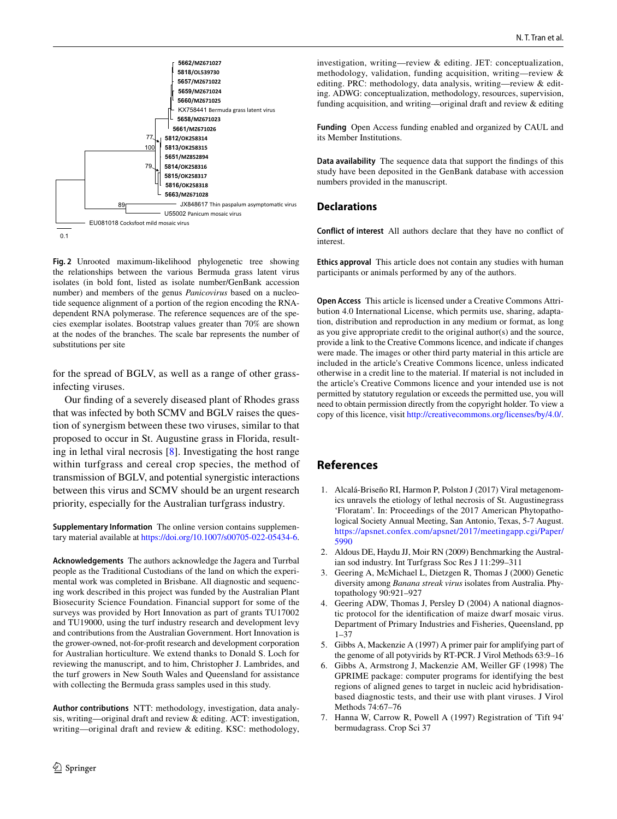

<span id="page-5-7"></span>**Fig. 2** Unrooted maximum-likelihood phylogenetic tree showing the relationships between the various Bermuda grass latent virus isolates (in bold font, listed as isolate number/GenBank accession number) and members of the genus *Panicovirus* based on a nucleotide sequence alignment of a portion of the region encoding the RNAdependent RNA polymerase. The reference sequences are of the species exemplar isolates. Bootstrap values greater than 70% are shown at the nodes of the branches. The scale bar represents the number of substitutions per site

for the spread of BGLV, as well as a range of other grassinfecting viruses.

Our fnding of a severely diseased plant of Rhodes grass that was infected by both SCMV and BGLV raises the question of synergism between these two viruses, similar to that proposed to occur in St. Augustine grass in Florida, resulting in lethal viral necrosis [\[8](#page-6-13)]. Investigating the host range within turfgrass and cereal crop species, the method of transmission of BGLV, and potential synergistic interactions between this virus and SCMV should be an urgent research priority, especially for the Australian turfgrass industry.

**Supplementary Information** The online version contains supplementary material available at<https://doi.org/10.1007/s00705-022-05434-6>.

**Acknowledgements** The authors acknowledge the Jagera and Turrbal people as the Traditional Custodians of the land on which the experimental work was completed in Brisbane. All diagnostic and sequencing work described in this project was funded by the Australian Plant Biosecurity Science Foundation. Financial support for some of the surveys was provided by Hort Innovation as part of grants TU17002 and TU19000, using the turf industry research and development levy and contributions from the Australian Government. Hort Innovation is the grower-owned, not-for-proft research and development corporation for Australian horticulture. We extend thanks to Donald S. Loch for reviewing the manuscript, and to him, Christopher J. Lambrides, and the turf growers in New South Wales and Queensland for assistance with collecting the Bermuda grass samples used in this study.

**Author contributions** NTT: methodology, investigation, data analysis, writing—original draft and review & editing. ACT: investigation, writing—original draft and review & editing. KSC: methodology, investigation, writing—review & editing. JET: conceptualization, methodology, validation, funding acquisition, writing—review & editing. PRC: methodology, data analysis, writing—review & editing. ADWG: conceptualization, methodology, resources, supervision, funding acquisition, and writing—original draft and review & editing

**Funding** Open Access funding enabled and organized by CAUL and its Member Institutions.

**Data availability** The sequence data that support the fndings of this study have been deposited in the GenBank database with accession numbers provided in the manuscript.

### **Declarations**

**Conflict of interest** All authors declare that they have no confict of interest.

**Ethics approval** This article does not contain any studies with human participants or animals performed by any of the authors.

**Open Access** This article is licensed under a Creative Commons Attribution 4.0 International License, which permits use, sharing, adaptation, distribution and reproduction in any medium or format, as long as you give appropriate credit to the original author(s) and the source, provide a link to the Creative Commons licence, and indicate if changes were made. The images or other third party material in this article are included in the article's Creative Commons licence, unless indicated otherwise in a credit line to the material. If material is not included in the article's Creative Commons licence and your intended use is not permitted by statutory regulation or exceeds the permitted use, you will need to obtain permission directly from the copyright holder. To view a copy of this licence, visit<http://creativecommons.org/licenses/by/4.0/>.

# **References**

- <span id="page-5-1"></span>1. Alcalá-Briseño RI, Harmon P, Polston J (2017) Viral metagenomics unravels the etiology of lethal necrosis of St. Augustinegrass 'Floratam'. In: Proceedings of the 2017 American Phytopathological Society Annual Meeting, San Antonio, Texas, 5-7 August. [https://apsnet.confex.com/apsnet/2017/meetingapp.cgi/Paper/](https://apsnet.confex.com/apsnet/2017/meetingapp.cgi/Paper/5990) [5990](https://apsnet.confex.com/apsnet/2017/meetingapp.cgi/Paper/5990)
- <span id="page-5-0"></span>2. Aldous DE, Haydu JJ, Moir RN (2009) Benchmarking the Australian sod industry. Int Turfgrass Soc Res J 11:299–311
- <span id="page-5-2"></span>3. Geering A, McMichael L, Dietzgen R, Thomas J (2000) Genetic diversity among *Banana streak virus* isolates from Australia. Phytopathology 90:921–927
- <span id="page-5-6"></span>4. Geering ADW, Thomas J, Persley D (2004) A national diagnostic protocol for the identifcation of maize dwarf mosaic virus. Department of Primary Industries and Fisheries, Queensland, pp 1–37
- <span id="page-5-4"></span>5. Gibbs A, Mackenzie A (1997) A primer pair for amplifying part of the genome of all potyvirids by RT-PCR. J Virol Methods 63:9–16
- <span id="page-5-3"></span>6. Gibbs A, Armstrong J, Mackenzie AM, Weiller GF (1998) The GPRIME package: computer programs for identifying the best regions of aligned genes to target in nucleic acid hybridisationbased diagnostic tests, and their use with plant viruses. J Virol Methods 74:67–76
- <span id="page-5-5"></span>7. Hanna W, Carrow R, Powell A (1997) Registration of 'Tift 94' bermudagrass. Crop Sci 37